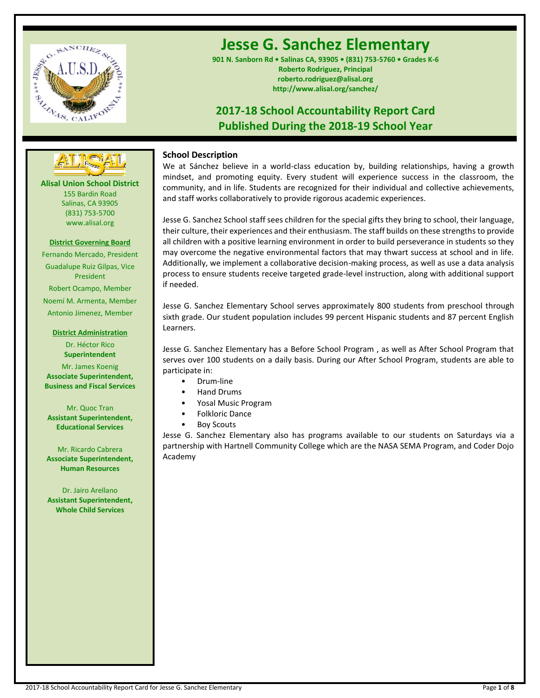

# **Jesse G. Sanchez Elementary**

**901 N. Sanborn Rd • Salinas CA, 93905 • (831) 753-5760 • Grades K-6 Roberto Rodriguez, Principal roberto.rodriguez@alisal.org http://www.alisal.org/sanchez/**

# **2017-18 School Accountability Report Card Published During the 2018-19 School Year**

# **---- ----**

**Alisal Union School District** 155 Bardin Road Salinas, CA 93905 (831) 753-5700 www.alisal.org

#### **District Governing Board**

Fernando Mercado, President Guadalupe Ruiz Gilpas, Vice President Robert Ocampo, Member Noemí M. Armenta, Member Antonio Jimenez, Member

## **District Administration**

Dr. Héctor Rico **Superintendent**

Mr. James Koenig **Associate Superintendent, Business and Fiscal Services**

# Mr. Quoc Tran

**Assistant Superintendent, Educational Services**

Mr. Ricardo Cabrera **Associate Superintendent, Human Resources**

Dr. Jairo Arellano **Assistant Superintendent, Whole Child Services**

# **School Description**

We at Sánchez believe in a world-class education by, building relationships, having a growth mindset, and promoting equity. Every student will experience success in the classroom, the community, and in life. Students are recognized for their individual and collective achievements, and staff works collaboratively to provide rigorous academic experiences.

Jesse G. Sanchez School staff sees children for the special gifts they bring to school, their language, their culture, their experiences and their enthusiasm. The staff builds on these strengths to provide all children with a positive learning environment in order to build perseverance in students so they may overcome the negative environmental factors that may thwart success at school and in life. Additionally, we implement a collaborative decision-making process, as well as use a data analysis process to ensure students receive targeted grade-level instruction, along with additional support if needed.

Jesse G. Sanchez Elementary School serves approximately 800 students from preschool through sixth grade. Our student population includes 99 percent Hispanic students and 87 percent English Learners.

Jesse G. Sanchez Elementary has a Before School Program , as well as After School Program that serves over 100 students on a daily basis. During our After School Program, students are able to participate in:

- Drum-line
- Hand Drums
- Yosal Music Program
- Folkloric Dance
- Boy Scouts

Jesse G. Sanchez Elementary also has programs available to our students on Saturdays via a partnership with Hartnell Community College which are the NASA SEMA Program, and Coder Dojo Academy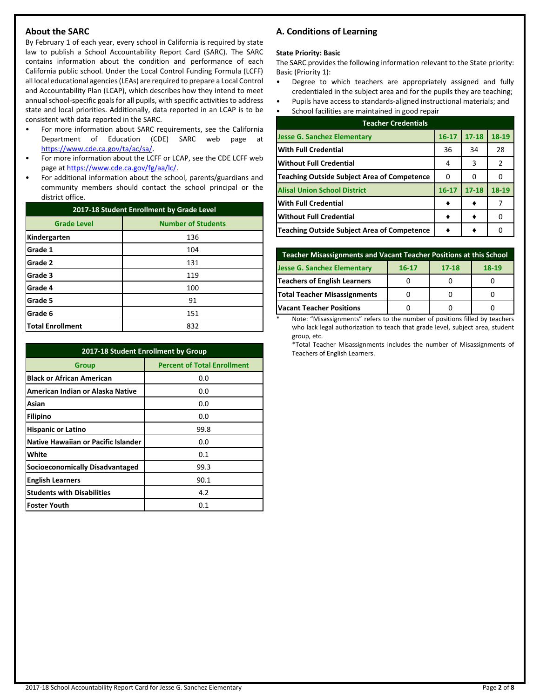# **About the SARC**

By February 1 of each year, every school in California is required by state law to publish a School Accountability Report Card (SARC). The SARC contains information about the condition and performance of each California public school. Under the Local Control Funding Formula (LCFF) all local educational agencies (LEAs) are required to prepare a Local Control and Accountability Plan (LCAP), which describes how they intend to meet annual school-specific goals for all pupils, with specific activities to address state and local priorities. Additionally, data reported in an LCAP is to be consistent with data reported in the SARC.

- For more information about SARC requirements, see the California Department of Education (CDE) SARC web page at [https://www.cde.ca.gov/ta/ac/sa/.](https://www.cde.ca.gov/ta/ac/sa/)
- For more information about the LCFF or LCAP, see the CDE LCFF web page at [https://www.cde.ca.gov/fg/aa/lc/.](https://www.cde.ca.gov/fg/aa/lc/)
- For additional information about the school, parents/guardians and community members should contact the school principal or the district office.

| 2017-18 Student Enrollment by Grade Level |                           |  |  |
|-------------------------------------------|---------------------------|--|--|
| <b>Grade Level</b>                        | <b>Number of Students</b> |  |  |
| Kindergarten                              | 136                       |  |  |
| Grade 1                                   | 104                       |  |  |
| Grade 2                                   | 131                       |  |  |
| Grade 3                                   | 119                       |  |  |
| Grade 4                                   | 100                       |  |  |
| Grade 5                                   | 91                        |  |  |
| Grade 6                                   | 151                       |  |  |
| <b>Total Enrollment</b>                   | 832                       |  |  |

| 2017-18 Student Enrollment by Group        |                                    |  |  |  |
|--------------------------------------------|------------------------------------|--|--|--|
| Group                                      | <b>Percent of Total Enrollment</b> |  |  |  |
| <b>Black or African American</b>           | 0.0                                |  |  |  |
| American Indian or Alaska Native           | 0.0                                |  |  |  |
| Asian                                      | 0.0                                |  |  |  |
| Filipino                                   | 0.0                                |  |  |  |
| <b>Hispanic or Latino</b>                  | 99.8                               |  |  |  |
| <b>Native Hawaiian or Pacific Islander</b> | 0.0                                |  |  |  |
| White                                      | 0.1                                |  |  |  |
| <b>Socioeconomically Disadvantaged</b>     | 99.3                               |  |  |  |
| <b>English Learners</b>                    | 90.1                               |  |  |  |
| <b>Students with Disabilities</b>          | 4.2                                |  |  |  |
| <b>Foster Youth</b>                        | 0.1                                |  |  |  |

# **A. Conditions of Learning**

#### **State Priority: Basic**

The SARC provides the following information relevant to the State priority: Basic (Priority 1):

- Degree to which teachers are appropriately assigned and fully credentialed in the subject area and for the pupils they are teaching;
- Pupils have access to standards-aligned instructional materials; and
- School facilities are maintained in good repair

| <b>Teacher Credentials</b>                         |           |           |       |  |  |  |
|----------------------------------------------------|-----------|-----------|-------|--|--|--|
| <b>Jesse G. Sanchez Elementary</b>                 | $16 - 17$ | $17 - 18$ | 18-19 |  |  |  |
| <b>With Full Credential</b>                        | 36        | 34        | 28    |  |  |  |
| Without Full Credential                            | 4         | 3         | 2     |  |  |  |
| <b>Teaching Outside Subject Area of Competence</b> | 0         | o         |       |  |  |  |
| <b>Alisal Union School District</b>                | $16 - 17$ | $17 - 18$ | 18-19 |  |  |  |
| <b>With Full Credential</b>                        |           |           |       |  |  |  |
| <b>Without Full Credential</b>                     |           |           |       |  |  |  |
| <b>Teaching Outside Subject Area of Competence</b> |           |           |       |  |  |  |

| Teacher Misassignments and Vacant Teacher Positions at this School      |  |  |  |  |  |  |  |
|-------------------------------------------------------------------------|--|--|--|--|--|--|--|
| <b>Jesse G. Sanchez Elementary</b><br>$18-19$<br>$17 - 18$<br>$16 - 17$ |  |  |  |  |  |  |  |
| Teachers of English Learners                                            |  |  |  |  |  |  |  |
| <b>Total Teacher Misassignments</b>                                     |  |  |  |  |  |  |  |
| <b>Vacant Teacher Positions</b>                                         |  |  |  |  |  |  |  |

Note: "Misassignments" refers to the number of positions filled by teachers who lack legal authorization to teach that grade level, subject area, student group, etc.

\*Total Teacher Misassignments includes the number of Misassignments of Teachers of English Learners.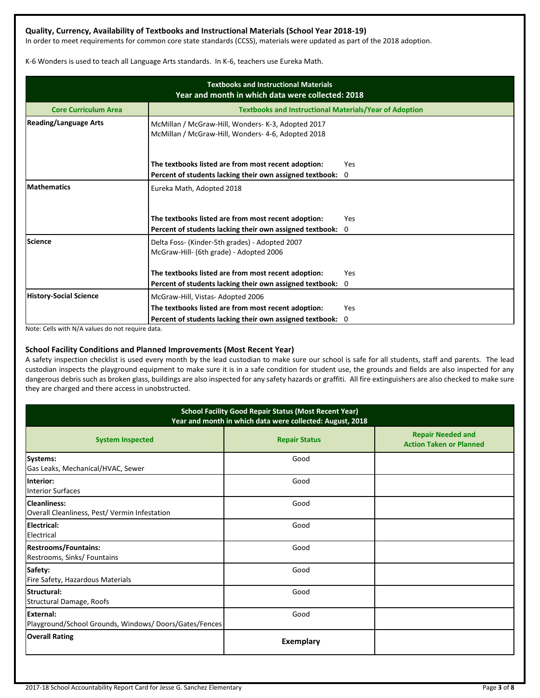# **Quality, Currency, Availability of Textbooks and Instructional Materials (School Year 2018-19)**

In order to meet requirements for common core state standards (CCSS), materials were updated as part of the 2018 adoption.

K-6 Wonders is used to teach all Language Arts standards. In K-6, teachers use Eureka Math.

| <b>Textbooks and Instructional Materials</b><br>Year and month in which data were collected: 2018 |                                                                                                          |             |  |  |  |
|---------------------------------------------------------------------------------------------------|----------------------------------------------------------------------------------------------------------|-------------|--|--|--|
| <b>Core Curriculum Area</b>                                                                       | <b>Textbooks and Instructional Materials/Year of Adoption</b>                                            |             |  |  |  |
| <b>Reading/Language Arts</b>                                                                      | McMillan / McGraw-Hill, Wonders- K-3, Adopted 2017<br>McMillan / McGraw-Hill, Wonders- 4-6, Adopted 2018 |             |  |  |  |
|                                                                                                   | The textbooks listed are from most recent adoption:                                                      | Yes         |  |  |  |
|                                                                                                   | Percent of students lacking their own assigned textbook:                                                 | $\mathbf 0$ |  |  |  |
| <b>Mathematics</b>                                                                                | Eureka Math, Adopted 2018<br>The textbooks listed are from most recent adoption:                         | Yes         |  |  |  |
|                                                                                                   | Percent of students lacking their own assigned textbook:                                                 | $\Omega$    |  |  |  |
| <b>Science</b>                                                                                    | Delta Foss- (Kinder-5th grades) - Adopted 2007<br>McGraw-Hill- (6th grade) - Adopted 2006                |             |  |  |  |
|                                                                                                   | The textbooks listed are from most recent adoption:                                                      | Yes         |  |  |  |
|                                                                                                   | Percent of students lacking their own assigned textbook: 0                                               |             |  |  |  |
| <b>History-Social Science</b>                                                                     | McGraw-Hill, Vistas-Adopted 2006                                                                         |             |  |  |  |
|                                                                                                   | The textbooks listed are from most recent adoption:                                                      | Yes         |  |  |  |
|                                                                                                   | Percent of students lacking their own assigned textbook:                                                 | 0           |  |  |  |

Note: Cells with N/A values do not require data.

## **School Facility Conditions and Planned Improvements (Most Recent Year)**

A safety inspection checklist is used every month by the lead custodian to make sure our school is safe for all students, staff and parents. The lead custodian inspects the playground equipment to make sure it is in a safe condition for student use, the grounds and fields are also inspected for any dangerous debris such as broken glass, buildings are also inspected for any safety hazards or graffiti. All fire extinguishers are also checked to make sure they are charged and there access in unobstructed.

| <b>School Facility Good Repair Status (Most Recent Year)</b><br>Year and month in which data were collected: August, 2018 |                      |                                                            |  |  |  |
|---------------------------------------------------------------------------------------------------------------------------|----------------------|------------------------------------------------------------|--|--|--|
| <b>System Inspected</b>                                                                                                   | <b>Repair Status</b> | <b>Repair Needed and</b><br><b>Action Taken or Planned</b> |  |  |  |
| Systems:<br>Gas Leaks, Mechanical/HVAC, Sewer                                                                             | Good                 |                                                            |  |  |  |
| Interior:<br><b>Interior Surfaces</b>                                                                                     | Good                 |                                                            |  |  |  |
| Cleanliness:<br>Overall Cleanliness, Pest/ Vermin Infestation                                                             | Good                 |                                                            |  |  |  |
| Electrical:<br>Electrical                                                                                                 | Good                 |                                                            |  |  |  |
| <b>Restrooms/Fountains:</b><br>Restrooms, Sinks/ Fountains                                                                | Good                 |                                                            |  |  |  |
| Safety:<br>Fire Safety, Hazardous Materials                                                                               | Good                 |                                                            |  |  |  |
| Structural:<br>Structural Damage, Roofs                                                                                   | Good                 |                                                            |  |  |  |
| <b>External:</b><br>Playground/School Grounds, Windows/Doors/Gates/Fences                                                 | Good                 |                                                            |  |  |  |
| <b>Overall Rating</b>                                                                                                     | <b>Exemplary</b>     |                                                            |  |  |  |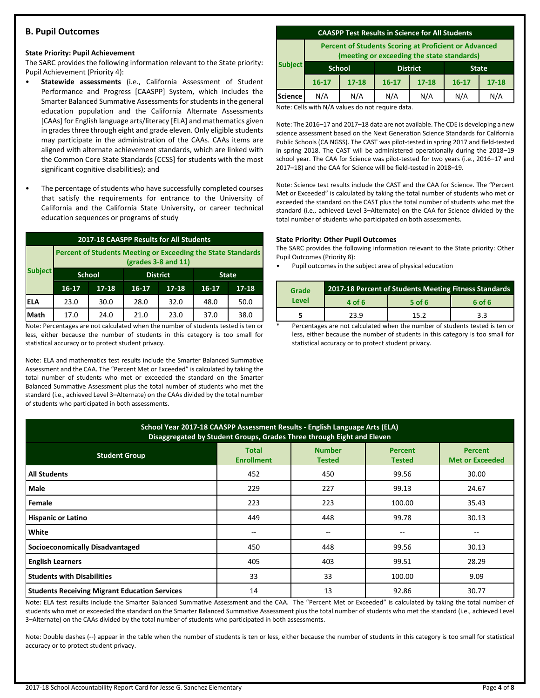# **B. Pupil Outcomes**

#### **State Priority: Pupil Achievement**

The SARC provides the following information relevant to the State priority: Pupil Achievement (Priority 4):

- **Statewide assessments** (i.e., California Assessment of Student Performance and Progress [CAASPP] System, which includes the Smarter Balanced Summative Assessments for students in the general education population and the California Alternate Assessments [CAAs] for English language arts/literacy [ELA] and mathematics given in grades three through eight and grade eleven. Only eligible students may participate in the administration of the CAAs. CAAs items are aligned with alternate achievement standards, which are linked with the Common Core State Standards [CCSS] for students with the most significant cognitive disabilities); and
- The percentage of students who have successfully completed courses that satisfy the requirements for entrance to the University of California and the California State University, or career technical education sequences or programs of study

| 2017-18 CAASPP Results for All Students |                                                                                       |       |         |                 |           |              |
|-----------------------------------------|---------------------------------------------------------------------------------------|-------|---------|-----------------|-----------|--------------|
|                                         | Percent of Students Meeting or Exceeding the State Standards<br>$(grades 3-8 and 11)$ |       |         |                 |           |              |
| <b>Subject</b>                          | <b>School</b>                                                                         |       |         | <b>District</b> |           | <b>State</b> |
|                                         | $16 - 17$                                                                             | 17-18 | $16-17$ | $17 - 18$       | $16 - 17$ | $17 - 18$    |
| IELA                                    | 23.0                                                                                  | 30.0  | 28.0    | 32.0            | 48.0      | 50.0         |
| Math                                    | 17.0                                                                                  | 24.0  | 21.0    | 23.0            | 37.0      | 38.0         |

Note: Percentages are not calculated when the number of students tested is ten or less, either because the number of students in this category is too small for statistical accuracy or to protect student privacy.

Note: ELA and mathematics test results include the Smarter Balanced Summative Assessment and the CAA. The "Percent Met or Exceeded" is calculated by taking the total number of students who met or exceeded the standard on the Smarter Balanced Summative Assessment plus the total number of students who met the standard (i.e., achieved Level 3–Alternate) on the CAAs divided by the total number of students who participated in both assessments.

#### **CAASPP Test Results in Science for All Students**

**Percent of Students Scoring at Proficient or Advanced (meeting or exceeding the state standards)**

|                | lineeting of exceeding the state standards, |               |                 |           |              |           |
|----------------|---------------------------------------------|---------------|-----------------|-----------|--------------|-----------|
| <b>Subject</b> |                                             | <b>School</b> | <b>District</b> |           | <b>State</b> |           |
|                | $16 - 17$                                   | $17 - 18$     | $16 - 17$       | $17 - 18$ | $16 - 17$    | $17 - 18$ |
| <b>Science</b> | N/A                                         | N/A           | N/A             | N/A       | N/A          | N/A       |
|                | .                                           | $\sim$ $\sim$ |                 |           |              |           |

Note: Cells with N/A values do not require data.

Note: The 2016–17 and 2017–18 data are not available. The CDE is developing a new science assessment based on the Next Generation Science Standards for California Public Schools (CA NGSS). The CAST was pilot-tested in spring 2017 and field-tested in spring 2018. The CAST will be administered operationally during the 2018–19 school year. The CAA for Science was pilot-tested for two years (i.e., 2016–17 and 2017–18) and the CAA for Science will be field-tested in 2018–19.

Note: Science test results include the CAST and the CAA for Science. The "Percent Met or Exceeded" is calculated by taking the total number of students who met or exceeded the standard on the CAST plus the total number of students who met the standard (i.e., achieved Level 3–Alternate) on the CAA for Science divided by the total number of students who participated on both assessments.

#### **State Priority: Other Pupil Outcomes**

The SARC provides the following information relevant to the State priority: Other Pupil Outcomes (Priority 8):

• Pupil outcomes in the subject area of physical education

| Grade |        | 2017-18 Percent of Students Meeting Fitness Standards |        |
|-------|--------|-------------------------------------------------------|--------|
| Level | 4 of 6 | 5 of 6                                                | 6 of 6 |
|       | 23.9   | 15.2                                                  | 3.3    |

Percentages are not calculated when the number of students tested is ten or less, either because the number of students in this category is too small for statistical accuracy or to protect student privacy.

| School Year 2017-18 CAASPP Assessment Results - English Language Arts (ELA)<br>Disaggregated by Student Groups, Grades Three through Eight and Eleven               |     |     |        |       |  |  |  |  |
|---------------------------------------------------------------------------------------------------------------------------------------------------------------------|-----|-----|--------|-------|--|--|--|--|
| <b>Number</b><br><b>Total</b><br>Percent<br><b>Percent</b><br><b>Student Group</b><br><b>Enrollment</b><br><b>Met or Exceeded</b><br><b>Tested</b><br><b>Tested</b> |     |     |        |       |  |  |  |  |
| <b>All Students</b>                                                                                                                                                 | 452 | 450 | 99.56  | 30.00 |  |  |  |  |
| Male                                                                                                                                                                | 229 | 227 | 99.13  | 24.67 |  |  |  |  |
| Female                                                                                                                                                              | 223 | 223 | 100.00 | 35.43 |  |  |  |  |
| <b>Hispanic or Latino</b>                                                                                                                                           | 449 | 448 | 99.78  | 30.13 |  |  |  |  |
| White                                                                                                                                                               | --  | $-$ | --     |       |  |  |  |  |
| <b>Socioeconomically Disadvantaged</b>                                                                                                                              | 450 | 448 | 99.56  | 30.13 |  |  |  |  |
| <b>English Learners</b>                                                                                                                                             | 405 | 403 | 99.51  | 28.29 |  |  |  |  |
| <b>Students with Disabilities</b>                                                                                                                                   | 33  | 33  | 100.00 | 9.09  |  |  |  |  |
| <b>Students Receiving Migrant Education Services</b>                                                                                                                | 14  | 13  | 92.86  | 30.77 |  |  |  |  |

Note: ELA test results include the Smarter Balanced Summative Assessment and the CAA. The "Percent Met or Exceeded" is calculated by taking the total number of students who met or exceeded the standard on the Smarter Balanced Summative Assessment plus the total number of students who met the standard (i.e., achieved Level 3–Alternate) on the CAAs divided by the total number of students who participated in both assessments.

Note: Double dashes (--) appear in the table when the number of students is ten or less, either because the number of students in this category is too small for statistical accuracy or to protect student privacy.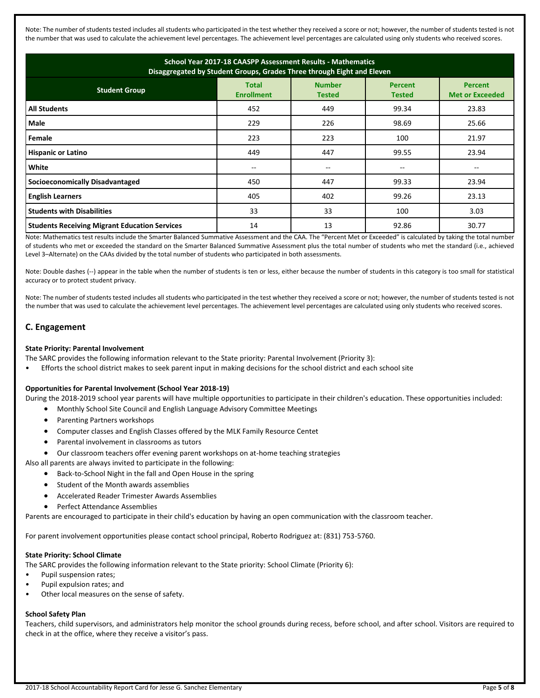Note: The number of students tested includes all students who participated in the test whether they received a score or not; however, the number of students tested is not the number that was used to calculate the achievement level percentages. The achievement level percentages are calculated using only students who received scores.

| School Year 2017-18 CAASPP Assessment Results - Mathematics<br>Disaggregated by Student Groups, Grades Three through Eight and Eleven                                      |     |     |       |       |  |  |  |  |
|----------------------------------------------------------------------------------------------------------------------------------------------------------------------------|-----|-----|-------|-------|--|--|--|--|
| <b>Number</b><br><b>Total</b><br><b>Percent</b><br><b>Percent</b><br><b>Student Group</b><br><b>Enrollment</b><br><b>Met or Exceeded</b><br><b>Tested</b><br><b>Tested</b> |     |     |       |       |  |  |  |  |
| <b>All Students</b>                                                                                                                                                        | 452 | 449 | 99.34 | 23.83 |  |  |  |  |
| <b>Male</b>                                                                                                                                                                | 229 | 226 | 98.69 | 25.66 |  |  |  |  |
| Female                                                                                                                                                                     | 223 | 223 | 100   | 21.97 |  |  |  |  |
| <b>Hispanic or Latino</b>                                                                                                                                                  | 449 | 447 | 99.55 | 23.94 |  |  |  |  |
| White                                                                                                                                                                      |     | $-$ |       |       |  |  |  |  |
| <b>Socioeconomically Disadvantaged</b>                                                                                                                                     | 450 | 447 | 99.33 | 23.94 |  |  |  |  |
| <b>English Learners</b>                                                                                                                                                    | 405 | 402 | 99.26 | 23.13 |  |  |  |  |
| <b>Students with Disabilities</b>                                                                                                                                          | 33  | 33  | 100   | 3.03  |  |  |  |  |
| <b>Students Receiving Migrant Education Services</b>                                                                                                                       | 14  | 13  | 92.86 | 30.77 |  |  |  |  |

Note: Mathematics test results include the Smarter Balanced Summative Assessment and the CAA. The "Percent Met or Exceeded" is calculated by taking the total number of students who met or exceeded the standard on the Smarter Balanced Summative Assessment plus the total number of students who met the standard (i.e., achieved Level 3–Alternate) on the CAAs divided by the total number of students who participated in both assessments.

Note: Double dashes (--) appear in the table when the number of students is ten or less, either because the number of students in this category is too small for statistical accuracy or to protect student privacy.

Note: The number of students tested includes all students who participated in the test whether they received a score or not; however, the number of students tested is not the number that was used to calculate the achievement level percentages. The achievement level percentages are calculated using only students who received scores.

# **C. Engagement**

#### **State Priority: Parental Involvement**

The SARC provides the following information relevant to the State priority: Parental Involvement (Priority 3):

• Efforts the school district makes to seek parent input in making decisions for the school district and each school site

#### **Opportunities for Parental Involvement (School Year 2018-19)**

During the 2018-2019 school year parents will have multiple opportunities to participate in their children's education. These opportunities included:

- Monthly School Site Council and English Language Advisory Committee Meetings
- Parenting Partners workshops
- Computer classes and English Classes offered by the MLK Family Resource Centet
- Parental involvement in classrooms as tutors
- Our classroom teachers offer evening parent workshops on at-home teaching strategies

Also all parents are always invited to participate in the following:

- Back-to-School Night in the fall and Open House in the spring
- Student of the Month awards assemblies
- Accelerated Reader Trimester Awards Assemblies
- Perfect Attendance Assemblies

Parents are encouraged to participate in their child's education by having an open communication with the classroom teacher.

For parent involvement opportunities please contact school principal, Roberto Rodriguez at: (831) 753-5760.

#### **State Priority: School Climate**

The SARC provides the following information relevant to the State priority: School Climate (Priority 6):

- Pupil suspension rates;
- Pupil expulsion rates; and
- Other local measures on the sense of safety.

#### **School Safety Plan**

Teachers, child supervisors, and administrators help monitor the school grounds during recess, before school, and after school. Visitors are required to check in at the office, where they receive a visitor's pass.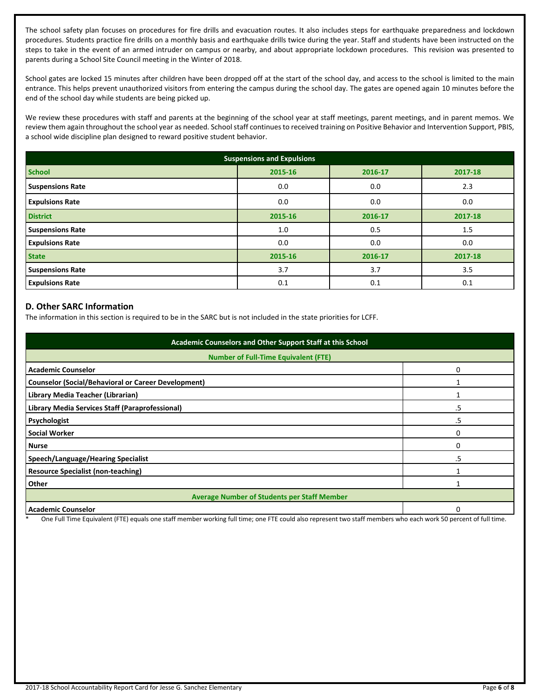The school safety plan focuses on procedures for fire drills and evacuation routes. It also includes steps for earthquake preparedness and lockdown procedures. Students practice fire drills on a monthly basis and earthquake drills twice during the year. Staff and students have been instructed on the steps to take in the event of an armed intruder on campus or nearby, and about appropriate lockdown procedures. This revision was presented to parents during a School Site Council meeting in the Winter of 2018.

School gates are locked 15 minutes after children have been dropped off at the start of the school day, and access to the school is limited to the main entrance. This helps prevent unauthorized visitors from entering the campus during the school day. The gates are opened again 10 minutes before the end of the school day while students are being picked up.

We review these procedures with staff and parents at the beginning of the school year at staff meetings, parent meetings, and in parent memos. We review them again throughout the school year as needed. School staff continues to received training on Positive Behavior and Intervention Support, PBIS, a school wide discipline plan designed to reward positive student behavior.

| <b>Suspensions and Expulsions</b> |         |         |         |  |  |
|-----------------------------------|---------|---------|---------|--|--|
| <b>School</b>                     | 2015-16 | 2016-17 | 2017-18 |  |  |
| <b>Suspensions Rate</b>           | 0.0     | 0.0     | 2.3     |  |  |
| <b>Expulsions Rate</b>            | 0.0     | 0.0     | 0.0     |  |  |
| <b>District</b>                   | 2015-16 | 2016-17 | 2017-18 |  |  |
| <b>Suspensions Rate</b>           | 1.0     | 0.5     | 1.5     |  |  |
| <b>Expulsions Rate</b>            | 0.0     | 0.0     | 0.0     |  |  |
| <b>State</b>                      | 2015-16 | 2016-17 | 2017-18 |  |  |
| <b>Suspensions Rate</b>           | 3.7     | 3.7     | 3.5     |  |  |
| <b>Expulsions Rate</b>            | 0.1     | 0.1     | 0.1     |  |  |

# **D. Other SARC Information**

The information in this section is required to be in the SARC but is not included in the state priorities for LCFF.

| Academic Counselors and Other Support Staff at this School |    |  |  |  |
|------------------------------------------------------------|----|--|--|--|
| <b>Number of Full-Time Equivalent (FTE)</b>                |    |  |  |  |
| <b>Academic Counselor</b>                                  | 0  |  |  |  |
| <b>Counselor (Social/Behavioral or Career Development)</b> |    |  |  |  |
| Library Media Teacher (Librarian)                          |    |  |  |  |
| Library Media Services Staff (Paraprofessional)            | .5 |  |  |  |
| Psychologist                                               | .5 |  |  |  |
| <b>Social Worker</b>                                       | 0  |  |  |  |
| <b>Nurse</b>                                               | 0  |  |  |  |
| Speech/Language/Hearing Specialist                         | .5 |  |  |  |
| <b>Resource Specialist (non-teaching)</b>                  |    |  |  |  |
| Other                                                      |    |  |  |  |
| <b>Average Number of Students per Staff Member</b>         |    |  |  |  |
| <b>Academic Counselor</b>                                  |    |  |  |  |

One Full Time Equivalent (FTE) equals one staff member working full time; one FTE could also represent two staff members who each work 50 percent of full time.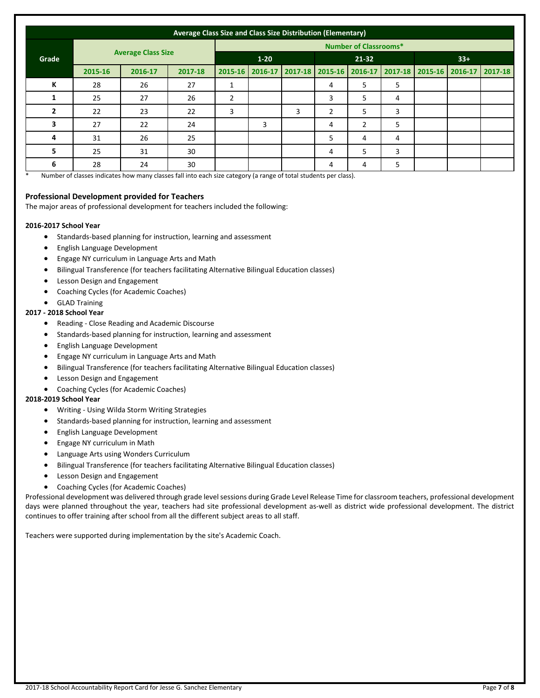| Average Class Size and Class Size Distribution (Elementary) |         |          |         |                              |   |                                                 |                |   |   |  |                                 |  |
|-------------------------------------------------------------|---------|----------|---------|------------------------------|---|-------------------------------------------------|----------------|---|---|--|---------------------------------|--|
|                                                             |         |          |         | <b>Number of Classrooms*</b> |   |                                                 |                |   |   |  |                                 |  |
| <b>Average Class Size</b><br>Grade                          |         | $1 - 20$ |         | 21-32                        |   |                                                 | $33+$          |   |   |  |                                 |  |
|                                                             | 2015-16 | 2016-17  | 2017-18 |                              |   | 2015-16   2016-17   2017-18   2015-16   2016-17 |                |   |   |  | 2017-18 2015-16 2016-17 2017-18 |  |
| К                                                           | 28      | 26       | 27      |                              |   |                                                 | 4              | 5 | 5 |  |                                 |  |
|                                                             | 25      | 27       | 26      | $\overline{2}$               |   |                                                 | 3              | 5 | 4 |  |                                 |  |
| $\overline{2}$                                              | 22      | 23       | 22      | 3                            |   | 3                                               | $\overline{2}$ | 5 | 3 |  |                                 |  |
| 3                                                           | 27      | 22       | 24      |                              | 3 |                                                 | 4              | 2 | 5 |  |                                 |  |
| 4                                                           | 31      | 26       | 25      |                              |   |                                                 | 5              | 4 | 4 |  |                                 |  |
| 5                                                           | 25      | 31       | 30      |                              |   |                                                 | 4              | 5 | 3 |  |                                 |  |
| 6                                                           | 28      | 24       | 30      |                              |   |                                                 | 4              | 4 | 5 |  |                                 |  |

Number of classes indicates how many classes fall into each size category (a range of total students per class).

#### **Professional Development provided for Teachers**

The major areas of professional development for teachers included the following:

#### **2016-2017 School Year**

- Standards-based planning for instruction, learning and assessment
- English Language Development
- Engage NY curriculum in Language Arts and Math
- Bilingual Transference (for teachers facilitating Alternative Bilingual Education classes)
- Lesson Design and Engagement
- Coaching Cycles (for Academic Coaches)
- GLAD Training

#### **2017 - 2018 School Year**

- Reading Close Reading and Academic Discourse
- Standards-based planning for instruction, learning and assessment
- English Language Development
- Engage NY curriculum in Language Arts and Math
- Bilingual Transference (for teachers facilitating Alternative Bilingual Education classes)
- Lesson Design and Engagement
- Coaching Cycles (for Academic Coaches)

#### **2018-2019 School Year**

- Writing Using Wilda Storm Writing Strategies
- Standards-based planning for instruction, learning and assessment
- English Language Development
- Engage NY curriculum in Math
- Language Arts using Wonders Curriculum
- Bilingual Transference (for teachers facilitating Alternative Bilingual Education classes)
- Lesson Design and Engagement
- Coaching Cycles (for Academic Coaches)

Professional development was delivered through grade level sessions during Grade Level Release Time for classroom teachers, professional development days were planned throughout the year, teachers had site professional development as-well as district wide professional development. The district continues to offer training after school from all the different subject areas to all staff.

Teachers were supported during implementation by the site's Academic Coach.